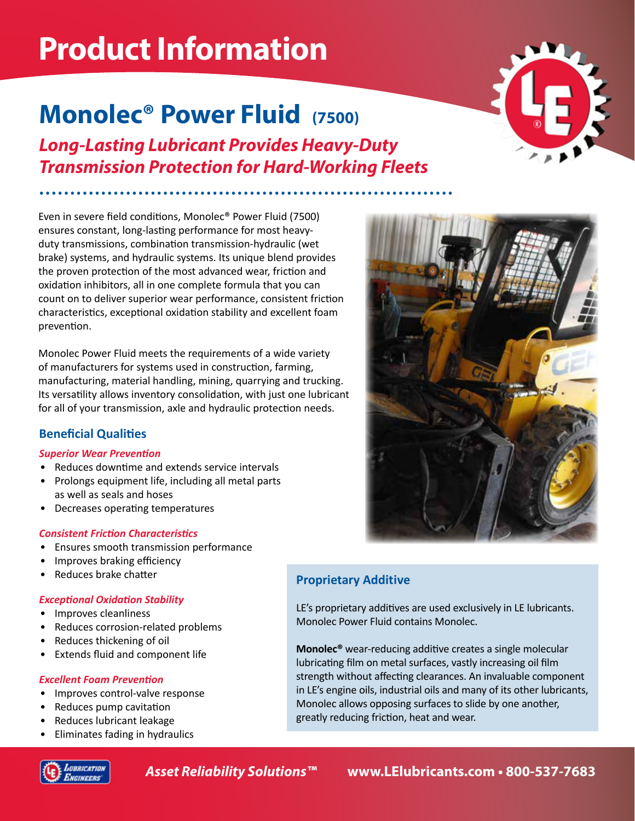# **Product Information**

## **Monolec® Power Fluid (7500)**

*Long-Lasting Lubricant Provides Heavy-Duty Transmission Protection for Hard-Working Fleets*

Even in severe field conditions, Monolec® Power Fluid (7500) ensures constant, long-lasting performance for most heavyduty transmissions, combination transmission-hydraulic (wet brake) systems, and hydraulic systems. Its unique blend provides the proven protection of the most advanced wear, friction and oxidation inhibitors, all in one complete formula that you can count on to deliver superior wear performance, consistent friction characteristics, exceptional oxidation stability and excellent foam prevention.

Monolec Power Fluid meets the requirements of a wide variety of manufacturers for systems used in construction, farming, manufacturing, material handling, mining, quarrying and trucking. Its versatility allows inventory consolidation, with just one lubricant for all of your transmission, axle and hydraulic protection needs.

## **Beneficial Qualities**

## *Superior Wear Prevention*

- Reduces downtime and extends service intervals
- Prolongs equipment life, including all metal parts as well as seals and hoses
- Decreases operating temperatures

## *Consistent Friction Characteristics*

- Ensures smooth transmission performance
- Improves braking efficiency
- Reduces brake chatter

## *Exceptional Oxidation Stability*

- Improves cleanliness
- Reduces corrosion-related problems
- Reduces thickening of oil
- Extends fluid and component life

## *Excellent Foam Prevention*

- Improves control-valve response
- Reduces pump cavitation
- Reduces lubricant leakage
- Eliminates fading in hydraulics







## **Proprietary Additive**

LE's proprietary additives are used exclusively in LE lubricants. Monolec Power Fluid contains Monolec.

**Monolec®** wear-reducing additive creates a single molecular lubricating film on metal surfaces, vastly increasing oil film strength without affecting clearances. An invaluable component in LE's engine oils, industrial oils and many of its other lubricants, Monolec allows opposing surfaces to slide by one another, greatly reducing friction, heat and wear.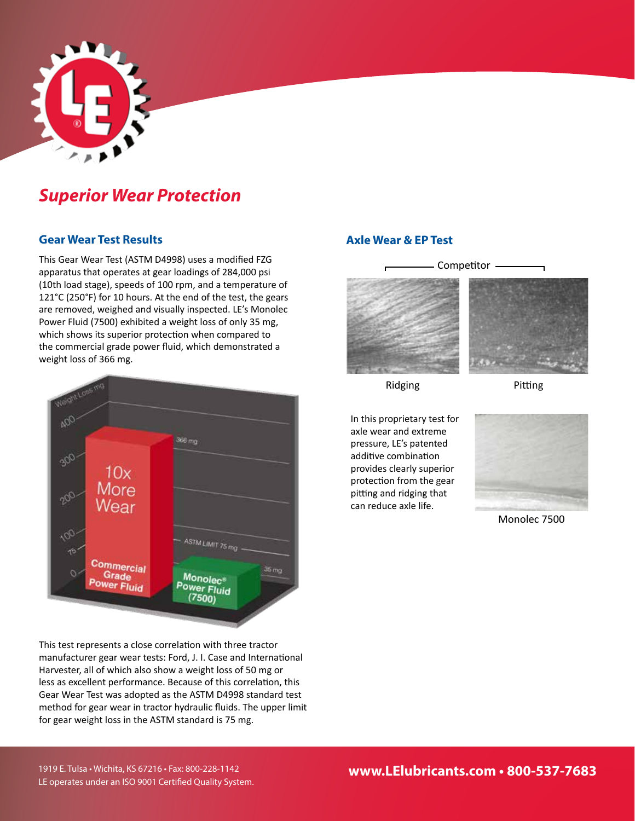

## *Superior Wear Protection*

## **Gear Wear Test Results**

This Gear Wear Test (ASTM D4998) uses a modified FZG apparatus that operates at gear loadings of 284,000 psi (10th load stage), speeds of 100 rpm, and a temperature of 121°C (250°F) for 10 hours. At the end of the test, the gears are removed, weighed and visually inspected. LE's Monolec Power Fluid (7500) exhibited a weight loss of only 35 mg, which shows its superior protection when compared to the commercial grade power fluid, which demonstrated a weight loss of 366 mg.



This test represents a close correlation with three tractor manufacturer gear wear tests: Ford, J. I. Case and International Harvester, all of which also show a weight loss of 50 mg or less as excellent performance. Because of this correlation, this Gear Wear Test was adopted as the ASTM D4998 standard test method for gear wear in tractor hydraulic fluids. The upper limit for gear weight loss in the ASTM standard is 75 mg.

## **Axle Wear & EP Test**



Ridging

Pitting

In this proprietary test for axle wear and extreme pressure, LE's patented additive combination provides clearly superior protection from the gear pitting and ridging that can reduce axle life.



Monolec 7500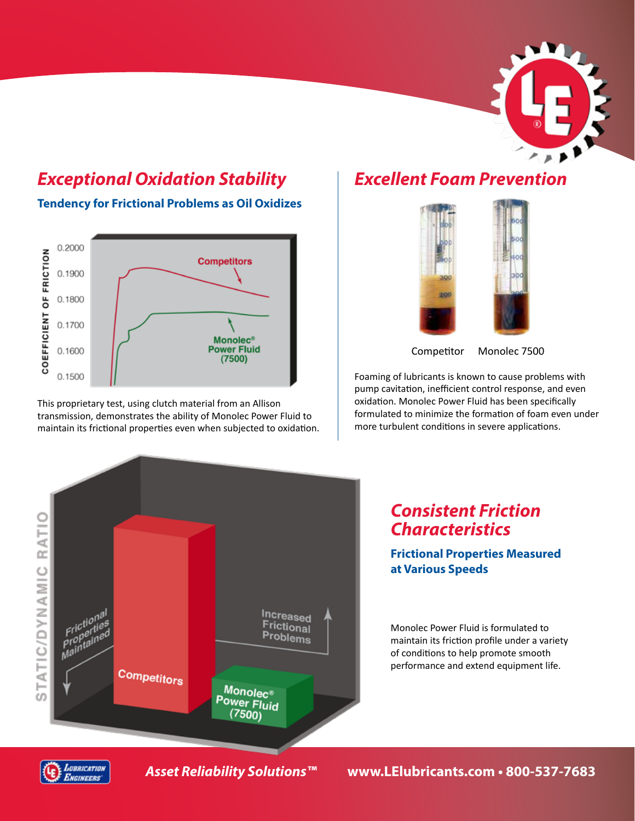

## *Exceptional Oxidation Stability*

**Tendency for Frictional Problems as Oil Oxidizes**



This proprietary test, using clutch material from an Allison transmission, demonstrates the ability of Monolec Power Fluid to maintain its frictional properties even when subjected to oxidation.

## *Excellent Foam Prevention*



Competitor Monolec 7500

Foaming of lubricants is known to cause problems with pump cavitation, inefficient control response, and even oxidation. Monolec Power Fluid has been specifically formulated to minimize the formation of foam even under more turbulent conditions in severe applications.



## *Consistent Friction Characteristics*

## **Frictional Properties Measured at Various Speeds**

Monolec Power Fluid is formulated to maintain its friction profile under a variety of conditions to help promote smooth performance and extend equipment life.



*Asset Reliability Solutions™* **www.LElubricants.com • 800-537-7683**